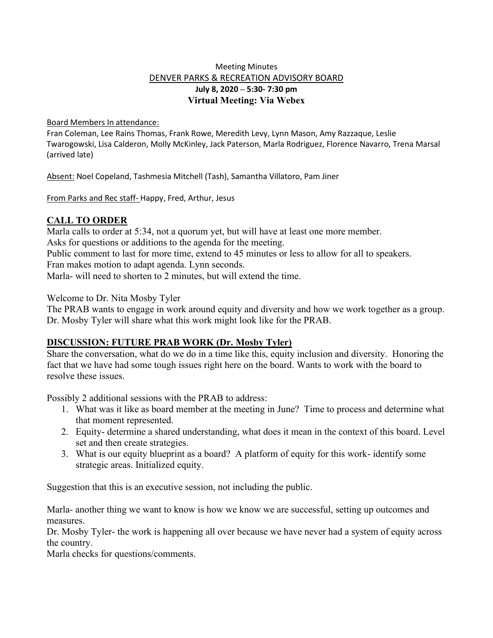## Meeting Minutes DENVER PARKS & RECREATION ADVISORY BOARD **July 8, 2020 – 5:30- 7:30 pm Virtual Meeting: Via Webex**

#### Board Members In attendance:

Fran Coleman, Lee Rains Thomas, Frank Rowe, Meredith Levy, Lynn Mason, Amy Razzaque, Leslie Twarogowski, Lisa Calderon, Molly McKinley, Jack Paterson, Marla Rodriguez, Florence Navarro, Trena Marsal (arrived late)

Absent: Noel Copeland, Tashmesia Mitchell (Tash), Samantha Villatoro, Pam Jiner

From Parks and Rec staff- Happy, Fred, Arthur, Jesus

## **CALL TO ORDER**

Marla calls to order at 5:34, not a quorum yet, but will have at least one more member. Asks for questions or additions to the agenda for the meeting. Public comment to last for more time, extend to 45 minutes or less to allow for all to speakers. Fran makes motion to adapt agenda. Lynn seconds. Marla- will need to shorten to 2 minutes, but will extend the time.

Welcome to Dr. Nita Mosby Tyler

The PRAB wants to engage in work around equity and diversity and how we work together as a group. Dr. Mosby Tyler will share what this work might look like for the PRAB.

## **DISCUSSION: FUTURE PRAB WORK (Dr. Mosby Tyler)**

Share the conversation, what do we do in a time like this, equity inclusion and diversity. Honoring the fact that we have had some tough issues right here on the board. Wants to work with the board to resolve these issues.

Possibly 2 additional sessions with the PRAB to address:

- 1. What was it like as board member at the meeting in June? Time to process and determine what that moment represented.
- 2. Equity- determine a shared understanding, what does it mean in the context of this board. Level set and then create strategies.
- 3. What is our equity blueprint as a board? A platform of equity for this work- identify some strategic areas. Initialized equity.

Suggestion that this is an executive session, not including the public.

Marla- another thing we want to know is how we know we are successful, setting up outcomes and measures.

Dr. Mosby Tyler- the work is happening all over because we have never had a system of equity across the country.

Marla checks for questions/comments.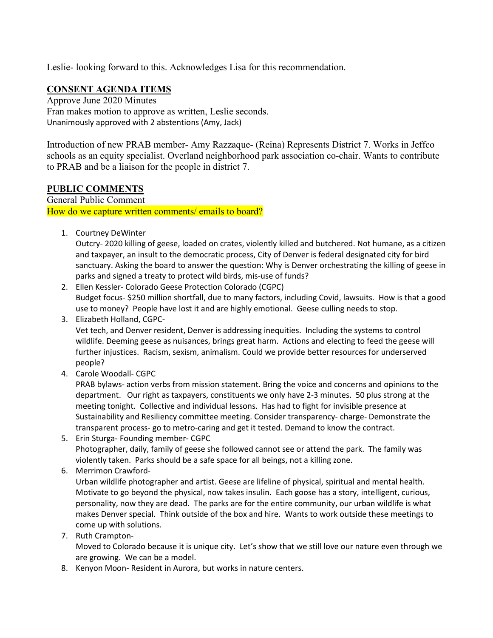Leslie- looking forward to this. Acknowledges Lisa for this recommendation.

# **CONSENT AGENDA ITEMS**

Approve June 2020 Minutes Fran makes motion to approve as written, Leslie seconds. Unanimously approved with 2 abstentions (Amy, Jack)

Introduction of new PRAB member- Amy Razzaque- (Reina) Represents District 7. Works in Jeffco schools as an equity specialist. Overland neighborhood park association co-chair. Wants to contribute to PRAB and be a liaison for the people in district 7.

## **PUBLIC COMMENTS**

General Public Comment How do we capture written comments/ emails to board?

1. Courtney DeWinter

Outcry- 2020 killing of geese, loaded on crates, violently killed and butchered. Not humane, as a citizen and taxpayer, an insult to the democratic process, City of Denver is federal designated city for bird sanctuary. Asking the board to answer the question: Why is Denver orchestrating the killing of geese in parks and signed a treaty to protect wild birds, mis-use of funds?

- 2. Ellen Kessler- Colorado Geese Protection Colorado (CGPC) Budget focus- \$250 million shortfall, due to many factors, including Covid, lawsuits. How is that a good use to money? People have lost it and are highly emotional. Geese culling needs to stop.
- 3. Elizabeth Holland, CGPC-

Vet tech, and Denver resident, Denver is addressing inequities. Including the systems to control wildlife. Deeming geese as nuisances, brings great harm. Actions and electing to feed the geese will further injustices. Racism, sexism, animalism. Could we provide better resources for underserved people?

4. Carole Woodall- CGPC

PRAB bylaws- action verbs from mission statement. Bring the voice and concerns and opinions to the department. Our right as taxpayers, constituents we only have 2-3 minutes. 50 plus strong at the meeting tonight. Collective and individual lessons. Has had to fight for invisible presence at Sustainability and Resiliency committee meeting. Consider transparency- charge- Demonstrate the transparent process- go to metro-caring and get it tested. Demand to know the contract.

- 5. Erin Sturga- Founding member- CGPC Photographer, daily, family of geese she followed cannot see or attend the park. The family was violently taken. Parks should be a safe space for all beings, not a killing zone.
- 6. Merrimon Crawford-

Urban wildlife photographer and artist. Geese are lifeline of physical, spiritual and mental health. Motivate to go beyond the physical, now takes insulin. Each goose has a story, intelligent, curious, personality, now they are dead. The parks are for the entire community, our urban wildlife is what makes Denver special. Think outside of the box and hire. Wants to work outside these meetings to come up with solutions.

7. Ruth Crampton-

Moved to Colorado because it is unique city. Let's show that we still love our nature even through we are growing. We can be a model.

8. Kenyon Moon- Resident in Aurora, but works in nature centers.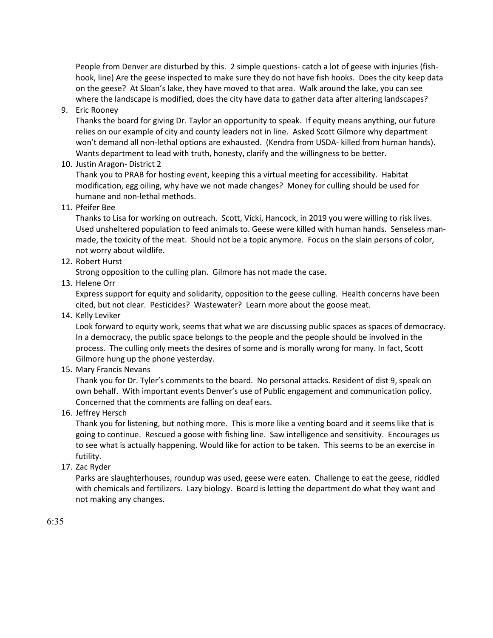People from Denver are disturbed by this. 2 simple questions- catch a lot of geese with injuries (fishhook, line) Are the geese inspected to make sure they do not have fish hooks. Does the city keep data on the geese? At Sloan's lake, they have moved to that area. Walk around the lake, you can see where the landscape is modified, does the city have data to gather data after altering landscapes?

9. Eric Rooney

Thanks the board for giving Dr. Taylor an opportunity to speak. If equity means anything, our future relies on our example of city and county leaders not in line. Asked Scott Gilmore why department won't demand all non-lethal options are exhausted. (Kendra from USDA- killed from human hands). Wants department to lead with truth, honesty, clarify and the willingness to be better.

10. Justin Aragon- District 2

Thank you to PRAB for hosting event, keeping this a virtual meeting for accessibility. Habitat modification, egg oiling, why have we not made changes? Money for culling should be used for humane and non-lethal methods.

11. Pfeifer Bee

Thanks to Lisa for working on outreach. Scott, Vicki, Hancock, in 2019 you were willing to risk lives. Used unsheltered population to feed animals to. Geese were killed with human hands. Senseless manmade, the toxicity of the meat. Should not be a topic anymore. Focus on the slain persons of color, not worry about wildlife.

12. Robert Hurst

Strong opposition to the culling plan. Gilmore has not made the case.

13. Helene Orr

Express support for equity and solidarity, opposition to the geese culling. Health concerns have been cited, but not clear. Pesticides? Wastewater? Learn more about the goose meat.

14. Kelly Leviker

Look forward to equity work, seems that what we are discussing public spaces as spaces of democracy. In a democracy, the public space belongs to the people and the people should be involved in the process. The culling only meets the desires of some and is morally wrong for many. In fact, Scott Gilmore hung up the phone yesterday.

15. Mary Francis Nevans

Thank you for Dr. Tyler's comments to the board. No personal attacks. Resident of dist 9, speak on own behalf. With important events Denver's use of Public engagement and communication policy. Concerned that the comments are falling on deaf ears.

16. Jeffrey Hersch

Thank you for listening, but nothing more. This is more like a venting board and it seems like that is going to continue. Rescued a goose with fishing line. Saw intelligence and sensitivity. Encourages us to see what is actually happening. Would like for action to be taken. This seems to be an exercise in futility.

17. Zac Ryder

Parks are slaughterhouses, roundup was used, geese were eaten. Challenge to eat the geese, riddled with chemicals and fertilizers. Lazy biology. Board is letting the department do what they want and not making any changes.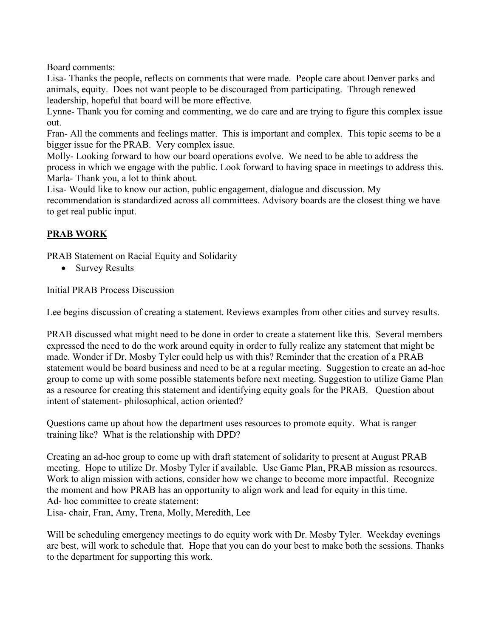Board comments:

Lisa- Thanks the people, reflects on comments that were made. People care about Denver parks and animals, equity. Does not want people to be discouraged from participating. Through renewed leadership, hopeful that board will be more effective.

Lynne- Thank you for coming and commenting, we do care and are trying to figure this complex issue out.

Fran- All the comments and feelings matter. This is important and complex. This topic seems to be a bigger issue for the PRAB. Very complex issue.

Molly- Looking forward to how our board operations evolve. We need to be able to address the process in which we engage with the public. Look forward to having space in meetings to address this. Marla- Thank you, a lot to think about.

Lisa- Would like to know our action, public engagement, dialogue and discussion. My recommendation is standardized across all committees. Advisory boards are the closest thing we have to get real public input.

# **PRAB WORK**

PRAB Statement on Racial Equity and Solidarity

• Survey Results

Initial PRAB Process Discussion

Lee begins discussion of creating a statement. Reviews examples from other cities and survey results.

PRAB discussed what might need to be done in order to create a statement like this. Several members expressed the need to do the work around equity in order to fully realize any statement that might be made. Wonder if Dr. Mosby Tyler could help us with this? Reminder that the creation of a PRAB statement would be board business and need to be at a regular meeting. Suggestion to create an ad-hoc group to come up with some possible statements before next meeting. Suggestion to utilize Game Plan as a resource for creating this statement and identifying equity goals for the PRAB. Question about intent of statement- philosophical, action oriented?

Questions came up about how the department uses resources to promote equity. What is ranger training like? What is the relationship with DPD?

Creating an ad-hoc group to come up with draft statement of solidarity to present at August PRAB meeting. Hope to utilize Dr. Mosby Tyler if available. Use Game Plan, PRAB mission as resources. Work to align mission with actions, consider how we change to become more impactful. Recognize the moment and how PRAB has an opportunity to align work and lead for equity in this time. Ad- hoc committee to create statement: Lisa- chair, Fran, Amy, Trena, Molly, Meredith, Lee

Will be scheduling emergency meetings to do equity work with Dr. Mosby Tyler. Weekday evenings are best, will work to schedule that. Hope that you can do your best to make both the sessions. Thanks to the department for supporting this work.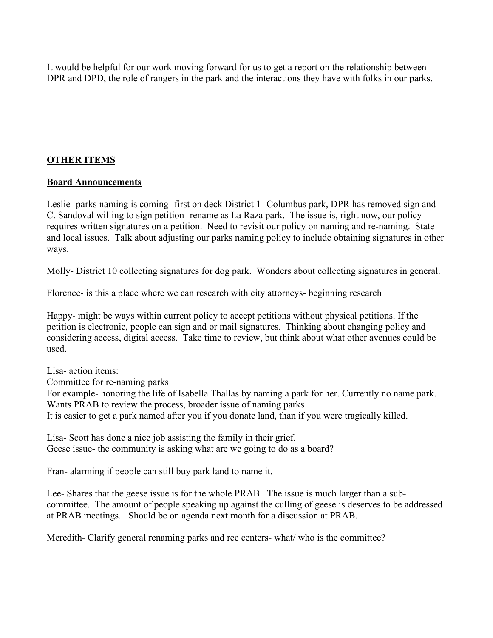It would be helpful for our work moving forward for us to get a report on the relationship between DPR and DPD, the role of rangers in the park and the interactions they have with folks in our parks.

## **OTHER ITEMS**

### **Board Announcements**

Leslie- parks naming is coming- first on deck District 1- Columbus park, DPR has removed sign and C. Sandoval willing to sign petition- rename as La Raza park. The issue is, right now, our policy requires written signatures on a petition. Need to revisit our policy on naming and re-naming. State and local issues. Talk about adjusting our parks naming policy to include obtaining signatures in other ways.

Molly- District 10 collecting signatures for dog park. Wonders about collecting signatures in general.

Florence- is this a place where we can research with city attorneys- beginning research

Happy- might be ways within current policy to accept petitions without physical petitions. If the petition is electronic, people can sign and or mail signatures. Thinking about changing policy and considering access, digital access. Take time to review, but think about what other avenues could be used.

Lisa- action items: Committee for re-naming parks For example- honoring the life of Isabella Thallas by naming a park for her. Currently no name park. Wants PRAB to review the process, broader issue of naming parks It is easier to get a park named after you if you donate land, than if you were tragically killed.

Lisa- Scott has done a nice job assisting the family in their grief. Geese issue- the community is asking what are we going to do as a board?

Fran- alarming if people can still buy park land to name it.

Lee- Shares that the geese issue is for the whole PRAB. The issue is much larger than a subcommittee. The amount of people speaking up against the culling of geese is deserves to be addressed at PRAB meetings. Should be on agenda next month for a discussion at PRAB.

Meredith- Clarify general renaming parks and rec centers- what/ who is the committee?